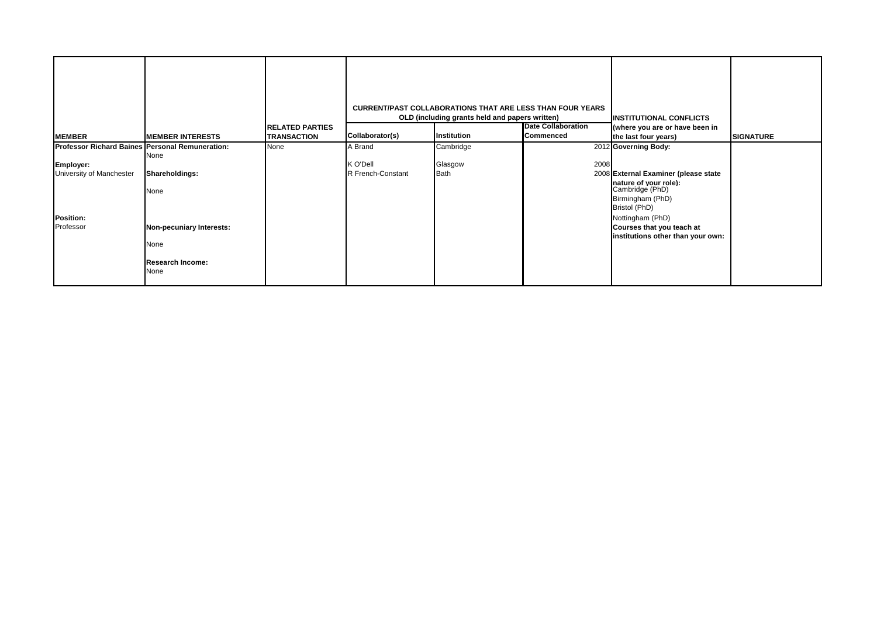|                                                                                          |                                                                     |                                              |                                          | <b>CURRENT/PAST COLLABORATIONS THAT ARE LESS THAN FOUR YEARS</b><br>OLD (including grants held and papers written) |                                        | <b>INSTITUTIONAL CONFLICTS</b>                                                                                                                |                  |
|------------------------------------------------------------------------------------------|---------------------------------------------------------------------|----------------------------------------------|------------------------------------------|--------------------------------------------------------------------------------------------------------------------|----------------------------------------|-----------------------------------------------------------------------------------------------------------------------------------------------|------------------|
| <b>MEMBER</b>                                                                            | <b>MEMBER INTERESTS</b>                                             | <b>RELATED PARTIES</b><br><b>TRANSACTION</b> | Collaborator(s)                          | Institution                                                                                                        | <b>Date Collaboration</b><br>Commenced | (where you are or have been in<br>the last four years)                                                                                        | <b>SIGNATURE</b> |
| Professor Richard Baines Personal Remuneration:<br>Employer:<br>University of Manchester | None<br>Shareholdings:<br>None                                      | None                                         | A Brand<br>K O'Dell<br>R French-Constant | Cambridge<br>Glasgow<br><b>Bath</b>                                                                                | 2008                                   | 2012 Governing Body:<br>2008 External Examiner (please state<br>nature of your role):<br>Cambridge (PhD)<br>Birmingham (PhD)<br>Bristol (PhD) |                  |
| Position:<br>Professor                                                                   | Non-pecuniary Interests:<br>None<br><b>Research Income:</b><br>None |                                              |                                          |                                                                                                                    |                                        | Nottingham (PhD)<br>Courses that you teach at<br>institutions other than your own:                                                            |                  |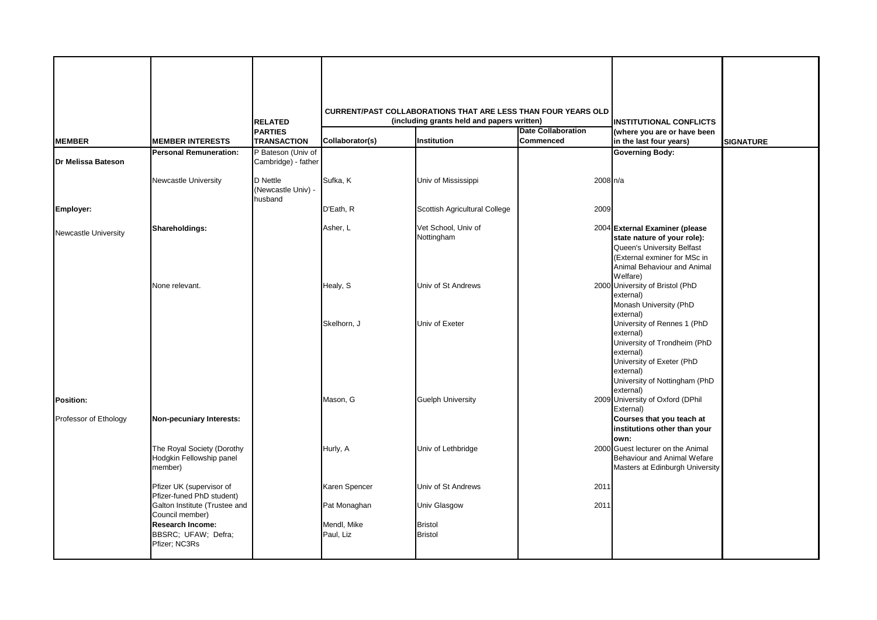|                             |                                                                                                           | <b>RELATED</b>                            |                               | <b>CURRENT/PAST COLLABORATIONS THAT ARE LESS THAN FOUR YEARS OLD</b><br>(including grants held and papers written) |                                        | <b>INSTITUTIONAL CONFLICTS</b>                                                                                                                                         |                  |
|-----------------------------|-----------------------------------------------------------------------------------------------------------|-------------------------------------------|-------------------------------|--------------------------------------------------------------------------------------------------------------------|----------------------------------------|------------------------------------------------------------------------------------------------------------------------------------------------------------------------|------------------|
| <b>MEMBER</b>               | <b>MEMBER INTERESTS</b>                                                                                   | <b>PARTIES</b><br><b>TRANSACTION</b>      | Collaborator(s)               | Institution                                                                                                        | <b>Date Collaboration</b><br>Commenced | (where you are or have been<br>in the last four years)                                                                                                                 | <b>SIGNATURE</b> |
| Dr Melissa Bateson          | <b>Personal Remuneration:</b>                                                                             | P Bateson (Univ of<br>Cambridge) - father |                               |                                                                                                                    |                                        | <b>Governing Body:</b>                                                                                                                                                 |                  |
|                             | Newcastle University                                                                                      | D Nettle<br>(Newcastle Univ) -<br>husband | Sufka, K                      | Univ of Mississippi                                                                                                | 2008 n/a                               |                                                                                                                                                                        |                  |
| Employer:                   |                                                                                                           |                                           | D'Eath, R                     | Scottish Agricultural College                                                                                      | 2009                                   |                                                                                                                                                                        |                  |
| <b>Newcastle University</b> | Shareholdings:                                                                                            |                                           | Asher, L                      | Vet School, Univ of<br>Nottingham                                                                                  |                                        | 2004 External Examiner (please<br>state nature of your role):<br>Queen's University Belfast<br>(External exminer for MSc in<br>Animal Behaviour and Animal<br>Welfare) |                  |
|                             | None relevant.                                                                                            |                                           | Healy, S<br>Skelhorn, J       | Univ of St Andrews<br>Univ of Exeter                                                                               |                                        | 2000 University of Bristol (PhD<br>external)<br>Monash University (PhD<br>external)<br>University of Rennes 1 (PhD<br>external)<br>University of Trondheim (PhD        |                  |
| Position:                   |                                                                                                           |                                           | Mason, G                      | <b>Guelph University</b>                                                                                           |                                        | external)<br>University of Exeter (PhD<br>external)<br>University of Nottingham (PhD<br>external)<br>2009 University of Oxford (DPhil<br>External)                     |                  |
| Professor of Ethology       | Non-pecuniary Interests:                                                                                  |                                           |                               |                                                                                                                    |                                        | Courses that you teach at<br>institutions other than your<br>own:                                                                                                      |                  |
|                             | The Royal Society (Dorothy<br>Hodgkin Fellowship panel<br>member)                                         |                                           | Hurly, A                      | Univ of Lethbridge                                                                                                 |                                        | 2000 Guest lecturer on the Animal<br>Behaviour and Animal Wefare<br>Masters at Edinburgh University                                                                    |                  |
|                             | Pfizer UK (supervisor of<br>Pfizer-funed PhD student)<br>Galton Institute (Trustee and<br>Council member) |                                           | Karen Spencer<br>Pat Monaghan | Univ of St Andrews<br>Univ Glasgow                                                                                 | 2011<br>2011                           |                                                                                                                                                                        |                  |
|                             | <b>Research Income:</b><br>BBSRC; UFAW; Defra;<br>Pfizer; NC3Rs                                           |                                           | Mendl, Mike<br>Paul, Liz      | <b>Bristol</b><br><b>Bristol</b>                                                                                   |                                        |                                                                                                                                                                        |                  |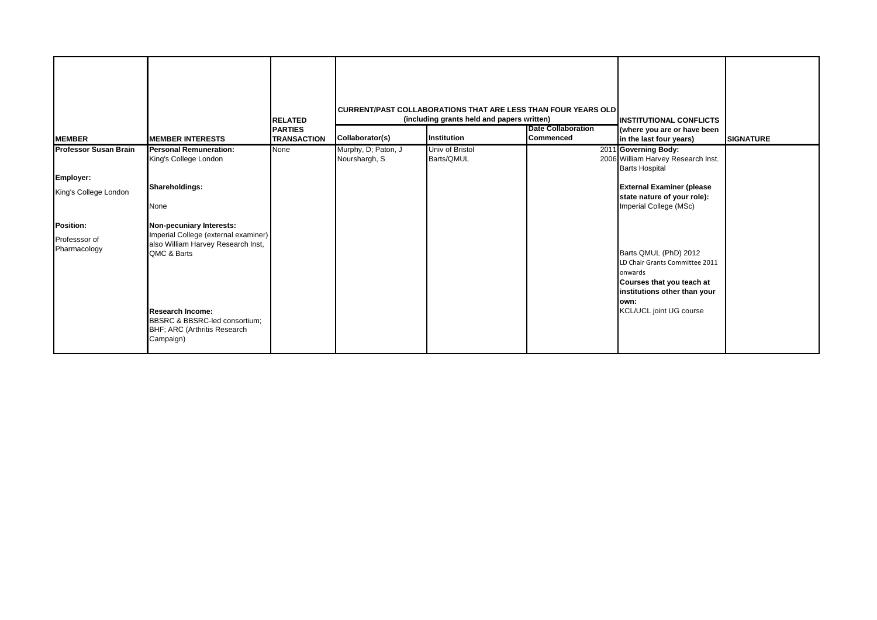| <b>MEMBER</b>                                                                                                           | <b>MEMBER INTERESTS</b>                                                                                                                                                                                                                                                                                            | <b>RELATED</b><br><b>PARTIES</b><br><b>TRANSACTION</b> | Collaborator(s)                      | CURRENT/PAST COLLABORATIONS THAT ARE LESS THAN FOUR YEARS OLD<br>(including grants held and papers written)<br>Institution | <b>Date Collaboration</b><br><b>Commenced</b> | <b>INSTITUTIONAL CONFLICTS</b><br>(where you are or have been<br>in the last four years)                                                                                                                                                                                                                                                                | <b>SIGNATURE</b> |
|-------------------------------------------------------------------------------------------------------------------------|--------------------------------------------------------------------------------------------------------------------------------------------------------------------------------------------------------------------------------------------------------------------------------------------------------------------|--------------------------------------------------------|--------------------------------------|----------------------------------------------------------------------------------------------------------------------------|-----------------------------------------------|---------------------------------------------------------------------------------------------------------------------------------------------------------------------------------------------------------------------------------------------------------------------------------------------------------------------------------------------------------|------------------|
| <b>Professor Susan Brain</b><br>Employer:<br>King's College London<br><b>Position:</b><br>Professsor of<br>Pharmacology | <b>Personal Remuneration:</b><br>King's College London<br>Shareholdings:<br>None<br>Non-pecuniary Interests:<br>Imperial College (external examiner)<br>also William Harvey Research Inst,<br>QMC & Barts<br><b>Research Income:</b><br>BBSRC & BBSRC-led consortium;<br>BHF; ARC (Arthritis Research<br>Campaign) | None                                                   | Murphy, D; Paton, J<br>Nourshargh, S | Univ of Bristol<br>Barts/QMUL                                                                                              |                                               | 2011 Governing Body:<br>2006 William Harvey Research Inst.<br><b>Barts Hospital</b><br><b>External Examiner (please</b><br>state nature of your role):<br>Imperial College (MSc)<br>Barts QMUL (PhD) 2012<br>LD Chair Grants Committee 2011<br>onwards<br>Courses that you teach at<br>institutions other than your<br>lown:<br>KCL/UCL joint UG course |                  |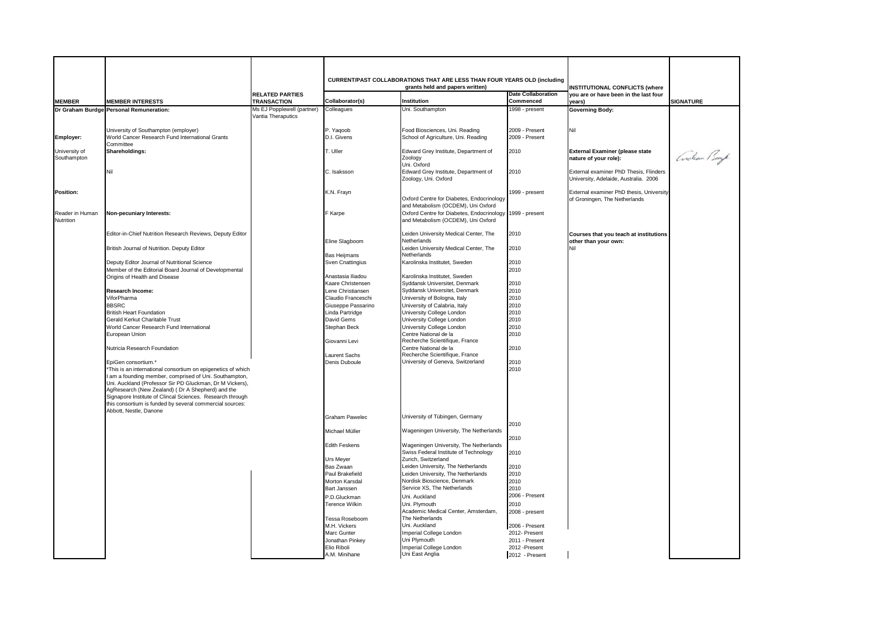|                  |                                                                                                              |                                              |                                       | CURRENT/PAST COLLABORATIONS THAT ARE LESS THAN FOUR YEARS OLD (including        |                                  |                                                                |                  |
|------------------|--------------------------------------------------------------------------------------------------------------|----------------------------------------------|---------------------------------------|---------------------------------------------------------------------------------|----------------------------------|----------------------------------------------------------------|------------------|
|                  |                                                                                                              |                                              |                                       | grants held and papers written)                                                 | <b>Date Collaboration</b>        | <b>INSTITUTIONAL CONFLICTS (where</b>                          |                  |
| <b>MEMBER</b>    | <b>MEMBER INTERESTS</b>                                                                                      | <b>RELATED PARTIES</b><br><b>TRANSACTION</b> | Collaborator(s)                       | Institution                                                                     | Commenced                        | you are or have been in the last four<br>years)                | <b>SIGNATURE</b> |
|                  | Dr Graham Burdge Personal Remuneration:                                                                      | Ms EJ Popplewell (partner)                   | Colleagues                            | Uni. Southampton                                                                | 1998 - present                   | <b>Governing Body:</b>                                         |                  |
|                  |                                                                                                              | Vantia Theraputics                           |                                       |                                                                                 |                                  |                                                                |                  |
|                  |                                                                                                              |                                              |                                       |                                                                                 |                                  |                                                                |                  |
|                  | University of Southampton (employer)<br>World Cancer Research Fund International Grants                      |                                              | P. Yaqoob<br>D.I. Givens              | Food Biosciences, Uni. Reading<br>School of Agriculture, Uni. Reading           | 2009 - Present<br>2009 - Present | Nil                                                            |                  |
| Employer:        | Committee                                                                                                    |                                              |                                       |                                                                                 |                                  |                                                                |                  |
| University of    | Shareholdings:                                                                                               |                                              | T. Uller                              | Edward Grey Institute, Department of                                            | 2010                             | <b>External Examiner (please state</b>                         |                  |
| Southampton      |                                                                                                              |                                              |                                       | Zoology                                                                         |                                  | nature of your role):                                          | Coocham Buyk     |
|                  | Nil                                                                                                          |                                              | C. Isaksson                           | Uni. Oxford<br>Edward Grey Institute, Department of                             | 2010                             | External examiner PhD Thesis, Flinders                         |                  |
|                  |                                                                                                              |                                              |                                       | Zoology, Uni. Oxford                                                            |                                  | University, Adelaide, Australia. 2006                          |                  |
|                  |                                                                                                              |                                              |                                       |                                                                                 |                                  |                                                                |                  |
| <b>Position:</b> |                                                                                                              |                                              | K.N. Frayn                            |                                                                                 | 1999 - present                   | External examiner PhD thesis, University                       |                  |
|                  |                                                                                                              |                                              |                                       | Oxford Centre for Diabetes, Endocrinology<br>and Metabolism (OCDEM), Uni Oxford |                                  | of Groningen, The Netherlands                                  |                  |
| Reader in Human  | Non-pecuniary Interests:                                                                                     |                                              | F Karpe                               | Oxford Centre for Diabetes, Endocrinology 1999 - present                        |                                  |                                                                |                  |
| Nutrition        |                                                                                                              |                                              |                                       | and Metabolism (OCDEM), Uni Oxford                                              |                                  |                                                                |                  |
|                  |                                                                                                              |                                              |                                       |                                                                                 |                                  |                                                                |                  |
|                  | Editor-in-Chief Nutrition Research Reviews, Deputy Editor                                                    |                                              | Eline Slagboom                        | Leiden University Medical Center, The<br>Netherlands                            | 2010                             | Courses that you teach at institutions<br>other than your own: |                  |
|                  | British Journal of Nutrition. Deputy Editor                                                                  |                                              |                                       | Leiden University Medical Center, The                                           | 2010                             | Nil                                                            |                  |
|                  |                                                                                                              |                                              | <b>Bas Heijmans</b>                   | Netherlands                                                                     |                                  |                                                                |                  |
|                  | Deputy Editor Journal of Nutritional Science                                                                 |                                              | Sven Cnattingius                      | Karolinska Institutet, Sweden                                                   | 2010                             |                                                                |                  |
|                  | Member of the Editorial Board Journal of Developmental<br>Origins of Health and Disease                      |                                              | Anastasia Iliadou                     | Karolinska Institutet, Sweden                                                   | 2010                             |                                                                |                  |
|                  |                                                                                                              |                                              | Kaare Christensen                     | Syddansk Universitet, Denmark                                                   | 2010                             |                                                                |                  |
|                  | Research Income:                                                                                             |                                              | Lene Christiansen                     | Syddansk Universitet, Denmark                                                   | 2010                             |                                                                |                  |
|                  | ViforPharma                                                                                                  |                                              | Claudio Franceschi                    | University of Bologna, Italy                                                    | 2010                             |                                                                |                  |
|                  | <b>BBSRC</b>                                                                                                 |                                              | Giuseppe Passarino                    | University of Calabria, Italy                                                   | 2010                             |                                                                |                  |
|                  | <b>British Heart Foundation</b><br>Gerald Kerkut Charitable Trust                                            |                                              | Linda Partridge<br>David Gems         | University College London<br>University College London                          | 2010<br>2010                     |                                                                |                  |
|                  | World Cancer Research Fund International                                                                     |                                              | Stephan Beck                          | University College London                                                       | 2010                             |                                                                |                  |
|                  | European Union                                                                                               |                                              |                                       | Centre National de la                                                           | 2010                             |                                                                |                  |
|                  |                                                                                                              |                                              | Giovanni Levi                         | Recherche Scientifique, France                                                  |                                  |                                                                |                  |
|                  | Nutricia Research Foundation                                                                                 |                                              |                                       | Centre National de la<br>Recherche Scientifique, France                         | 2010                             |                                                                |                  |
|                  | EpiGen consortium.*                                                                                          |                                              | <b>Laurent Sachs</b><br>Denis Duboule | University of Geneva, Switzerland                                               | 2010                             |                                                                |                  |
|                  | *This is an international consortium on epigenetics of which                                                 |                                              |                                       |                                                                                 | 2010                             |                                                                |                  |
|                  | I am a founding member, comprised of Uni. Southampton,                                                       |                                              |                                       |                                                                                 |                                  |                                                                |                  |
|                  | Uni. Auckland (Professor Sir PD Gluckman, Dr M Vickers),<br>AgResearch (New Zealand) (Dr A Shepherd) and the |                                              |                                       |                                                                                 |                                  |                                                                |                  |
|                  | Signapore Institute of Clincal Sciences. Research through                                                    |                                              |                                       |                                                                                 |                                  |                                                                |                  |
|                  | this consortium is funded by several commercial sources:                                                     |                                              |                                       |                                                                                 |                                  |                                                                |                  |
|                  | Abbott, Nestle, Danone                                                                                       |                                              |                                       |                                                                                 |                                  |                                                                |                  |
|                  |                                                                                                              |                                              | <b>Graham Pawelec</b>                 | University of Tübingen, Germany                                                 | 2010                             |                                                                |                  |
|                  |                                                                                                              |                                              | Michael Müller                        | Wageningen University, The Netherlands                                          |                                  |                                                                |                  |
|                  |                                                                                                              |                                              |                                       |                                                                                 | 2010                             |                                                                |                  |
|                  |                                                                                                              |                                              | <b>Edith Feskens</b>                  | Wageningen University, The Netherlands                                          |                                  |                                                                |                  |
|                  |                                                                                                              |                                              | <b>Urs Meyer</b>                      | Swiss Federal Institute of Technology<br>Zurich, Switzerland                    | 2010                             |                                                                |                  |
|                  |                                                                                                              |                                              | Bas Zwaan                             | Leiden University, The Netherlands                                              | 2010                             |                                                                |                  |
|                  |                                                                                                              |                                              | Paul Brakefield                       | Leiden University, The Netherlands                                              | 2010                             |                                                                |                  |
|                  |                                                                                                              |                                              | <b>Morton Karsdal</b>                 | Nordisk Bioscience, Denmark                                                     | 2010                             |                                                                |                  |
|                  |                                                                                                              |                                              | Bart Janssen                          | Service XS, The Netherlands                                                     | 2010<br>2006 - Present           |                                                                |                  |
|                  |                                                                                                              |                                              | P.D.Gluckman<br><b>Terence Wilkin</b> | Uni. Auckland<br>Uni. Plymouth                                                  | 2010                             |                                                                |                  |
|                  |                                                                                                              |                                              |                                       | Academic Medical Center, Amsterdam,                                             | 2008 - present                   |                                                                |                  |
|                  |                                                                                                              |                                              | Tessa Roseboom                        | The Netherlands                                                                 |                                  |                                                                |                  |
|                  |                                                                                                              |                                              | M.H. Vickers                          | Uni. Auckland                                                                   | 2006 - Present                   |                                                                |                  |
|                  |                                                                                                              |                                              | Marc Gunter                           | Imperial College London<br>Uni Plymouth                                         | 2012- Present                    |                                                                |                  |
|                  |                                                                                                              |                                              | Jonathan Pinkey<br>Elio Riboli        | Imperial College London                                                         | 2011 - Present<br>2012 - Present |                                                                |                  |
|                  |                                                                                                              |                                              | A.M. Minihane                         | Uni East Anglia                                                                 | 2012 - Present                   |                                                                |                  |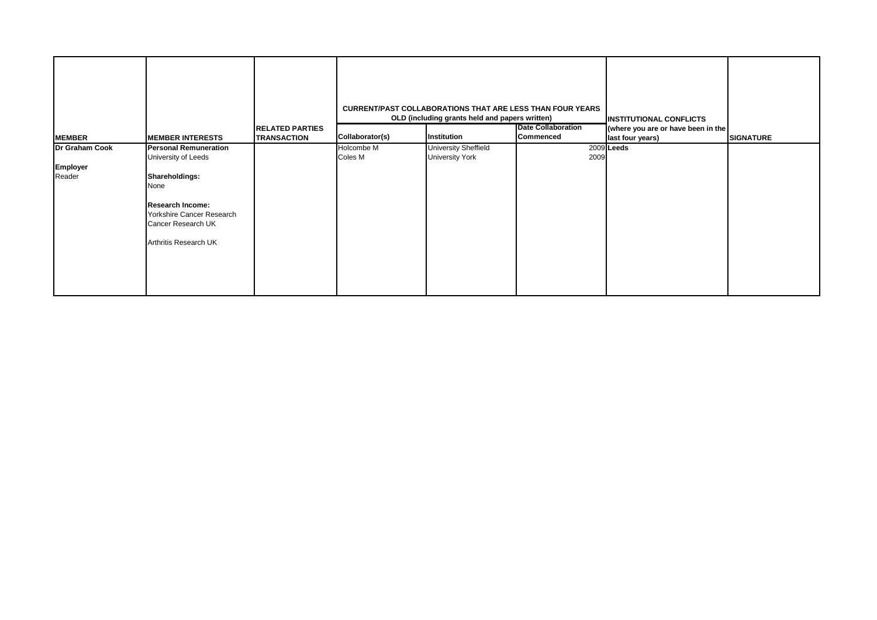|                                      |                                                                                                                                                                                      | <b>RELATED PARTIES</b> |                       | <b>CURRENT/PAST COLLABORATIONS THAT ARE LESS THAN FOUR YEARS</b><br>OLD (including grants held and papers written) | <b>Date Collaboration</b> | <b>INSTITUTIONAL CONFLICTS</b><br>(where you are or have been in the |                  |
|--------------------------------------|--------------------------------------------------------------------------------------------------------------------------------------------------------------------------------------|------------------------|-----------------------|--------------------------------------------------------------------------------------------------------------------|---------------------------|----------------------------------------------------------------------|------------------|
| <b>MEMBER</b>                        | <b>MEMBER INTERESTS</b>                                                                                                                                                              | <b>TRANSACTION</b>     | Collaborator(s)       | Institution                                                                                                        | Commenced                 | last four years)                                                     | <b>SIGNATURE</b> |
| Dr Graham Cook<br>Employer<br>Reader | <b>Personal Remuneration</b><br>University of Leeds<br>Shareholdings:<br>None<br><b>Research Income:</b><br>Yorkshire Cancer Research<br>Cancer Research UK<br>Arthritis Research UK |                        | Holcombe M<br>Coles M | <b>University Sheffield</b><br><b>University York</b>                                                              | 2009                      | 2009 Leeds                                                           |                  |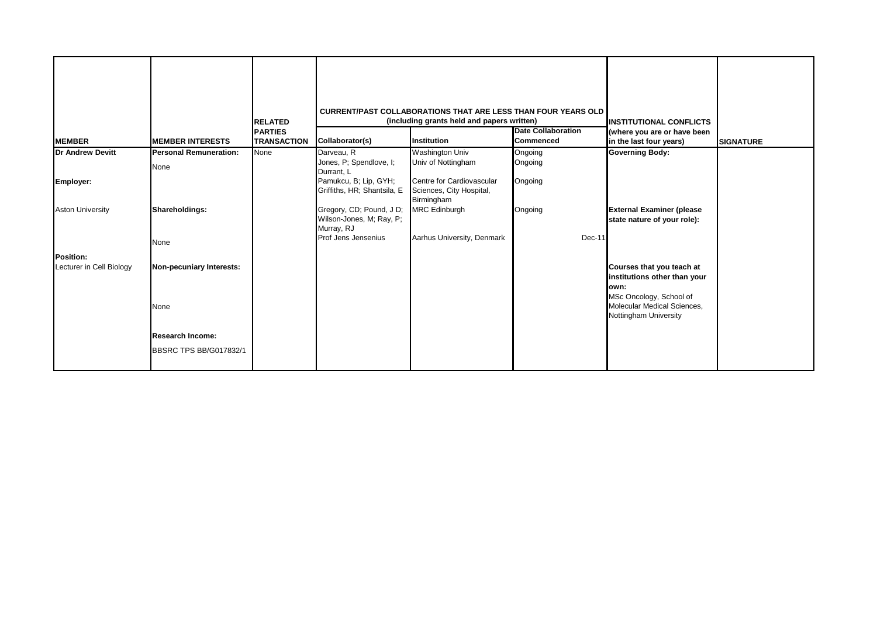| <b>MEMBER</b>                         | <b>MEMBER INTERESTS</b>       | <b>RELATED</b><br><b>PARTIES</b><br><b>TRANSACTION</b> | Collaborator(s)                                                    | <b>CURRENT/PAST COLLABORATIONS THAT ARE LESS THAN FOUR YEARS OLD</b><br>(including grants held and papers written)<br>Institution | <b>Date Collaboration</b><br><b>Commenced</b> | <b>INSTITUTIONAL CONFLICTS</b><br>(where you are or have been<br>in the last four years)      | <b>SIGNATURE</b> |
|---------------------------------------|-------------------------------|--------------------------------------------------------|--------------------------------------------------------------------|-----------------------------------------------------------------------------------------------------------------------------------|-----------------------------------------------|-----------------------------------------------------------------------------------------------|------------------|
| <b>Dr Andrew Devitt</b>               | <b>Personal Remuneration:</b> | None                                                   | Darveau, R                                                         | <b>Washington Univ</b>                                                                                                            | Ongoing                                       | <b>Governing Body:</b>                                                                        |                  |
|                                       | None                          |                                                        | Jones, P; Spendlove, I;<br>Durrant, L                              | Univ of Nottingham                                                                                                                | Ongoing                                       |                                                                                               |                  |
| Employer:                             |                               |                                                        | Pamukcu, B; Lip, GYH;<br>Griffiths, HR; Shantsila, E               | Centre for Cardiovascular<br>Sciences, City Hospital,<br>Birmingham                                                               | Ongoing                                       |                                                                                               |                  |
| <b>Aston University</b>               | Shareholdings:                |                                                        | Gregory, CD; Pound, J D;<br>Wilson-Jones, M; Ray, P;<br>Murray, RJ | <b>MRC</b> Edinburgh                                                                                                              | Ongoing                                       | <b>External Examiner (please</b><br>state nature of your role):                               |                  |
|                                       | None                          |                                                        | Prof Jens Jensenius                                                | Aarhus University, Denmark                                                                                                        | Dec-11                                        |                                                                                               |                  |
| Position:<br>Lecturer in Cell Biology | Non-pecuniary Interests:      |                                                        |                                                                    |                                                                                                                                   |                                               | Courses that you teach at<br>institutions other than your<br>lown:<br>MSc Oncology, School of |                  |
|                                       | None                          |                                                        |                                                                    |                                                                                                                                   |                                               | Molecular Medical Sciences,<br>Nottingham University                                          |                  |
|                                       | <b>Research Income:</b>       |                                                        |                                                                    |                                                                                                                                   |                                               |                                                                                               |                  |
|                                       | BBSRC TPS BB/G017832/1        |                                                        |                                                                    |                                                                                                                                   |                                               |                                                                                               |                  |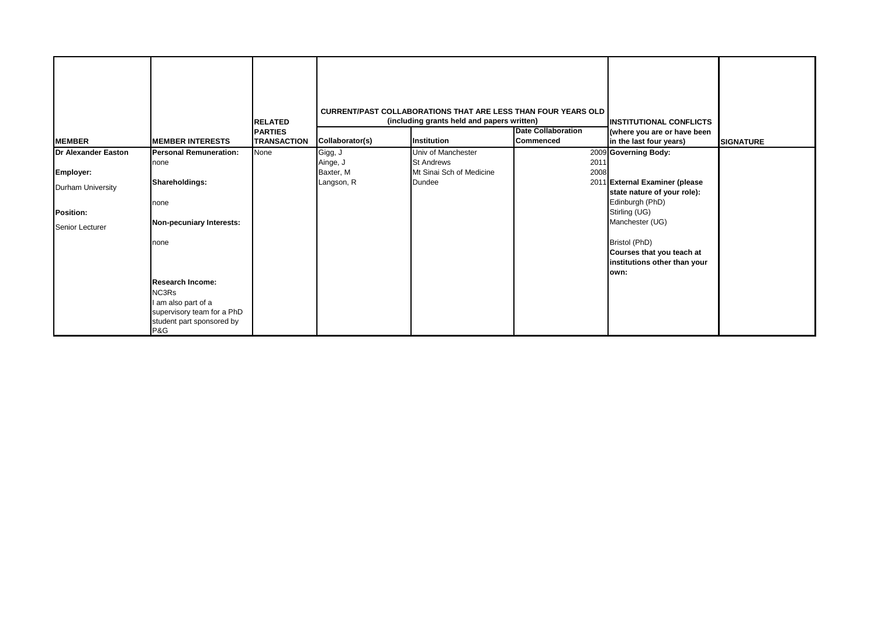| <b>MEMBER</b>                | <b>MEMBER INTERESTS</b>                                                                       | <b>RELATED</b><br><b>PARTIES</b><br><b>TRANSACTION</b> | Collaborator(s)       | <b>CURRENT/PAST COLLABORATIONS THAT ARE LESS THAN FOUR YEARS OLD</b><br>(including grants held and papers written)<br>Institution | <b>Date Collaboration</b><br><b>Commenced</b> | <b>IINSTITUTIONAL CONFLICTS</b><br>(where you are or have been<br>in the last four years) | <b>SIGNATURE</b> |
|------------------------------|-----------------------------------------------------------------------------------------------|--------------------------------------------------------|-----------------------|-----------------------------------------------------------------------------------------------------------------------------------|-----------------------------------------------|-------------------------------------------------------------------------------------------|------------------|
| <b>Dr Alexander Easton</b>   | <b>Personal Remuneration:</b>                                                                 | None                                                   | Gigg, J               | Univ of Manchester                                                                                                                |                                               | 2009 Governing Body:                                                                      |                  |
| Employer:                    | none                                                                                          |                                                        | Ainge, J<br>Baxter, M | <b>St Andrews</b><br>Mt Sinai Sch of Medicine                                                                                     | 2011<br>2008                                  |                                                                                           |                  |
| Durham University            | Shareholdings:                                                                                |                                                        | Langson, R            | Dundee                                                                                                                            |                                               | 2011 External Examiner (please                                                            |                  |
| Position:<br>Senior Lecturer | none<br>Non-pecuniary Interests:                                                              |                                                        |                       |                                                                                                                                   |                                               | state nature of your role):<br>Edinburgh (PhD)<br>Stirling (UG)<br>Manchester (UG)        |                  |
|                              | none<br><b>Research Income:</b><br>NC3Rs<br>I am also part of a<br>supervisory team for a PhD |                                                        |                       |                                                                                                                                   |                                               | Bristol (PhD)<br>Courses that you teach at<br>institutions other than your<br>own:        |                  |
|                              | student part sponsored by<br>P&G                                                              |                                                        |                       |                                                                                                                                   |                                               |                                                                                           |                  |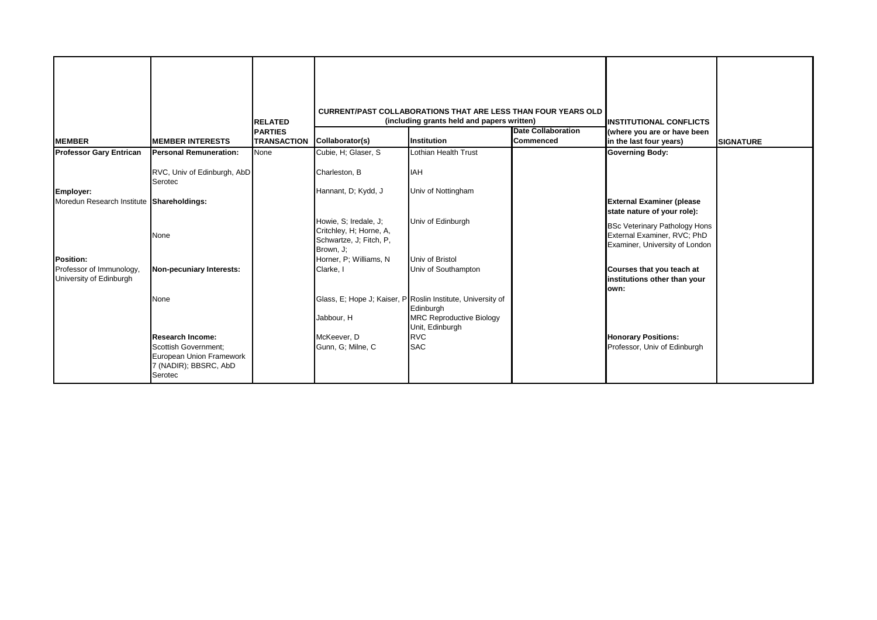|                                                        |                                                                                                                 | <b>RELATED</b>                       |                                                                                          | <b>CURRENT/PAST COLLABORATIONS THAT ARE LESS THAN FOUR YEARS OLD</b><br>(including grants held and papers written)             |                                        | <b>IINSTITUTIONAL CONFLICTS</b>                                                                       |                  |
|--------------------------------------------------------|-----------------------------------------------------------------------------------------------------------------|--------------------------------------|------------------------------------------------------------------------------------------|--------------------------------------------------------------------------------------------------------------------------------|----------------------------------------|-------------------------------------------------------------------------------------------------------|------------------|
| <b>MEMBER</b>                                          | <b>MEMBER INTERESTS</b>                                                                                         | <b>PARTIES</b><br><b>TRANSACTION</b> | Collaborator(s)                                                                          | <b>Institution</b>                                                                                                             | <b>Date Collaboration</b><br>Commenced | (where you are or have been<br>in the last four years)                                                | <b>SIGNATURE</b> |
| <b>Professor Gary Entrican</b>                         | <b>Personal Remuneration:</b>                                                                                   | None                                 | Cubie, H; Glaser, S                                                                      | Lothian Health Trust                                                                                                           |                                        | <b>Governing Body:</b>                                                                                |                  |
|                                                        | RVC, Univ of Edinburgh, AbD<br>Serotec                                                                          |                                      | Charleston, B                                                                            | <b>IAH</b>                                                                                                                     |                                        |                                                                                                       |                  |
| Employer:<br>Moredun Research Institute Shareholdings: |                                                                                                                 |                                      | Hannant, D; Kydd, J                                                                      | Univ of Nottingham                                                                                                             |                                        | <b>External Examiner (please</b><br>state nature of your role):                                       |                  |
|                                                        | None                                                                                                            |                                      | Howie, S; Iredale, J;<br>Critchley, H; Horne, A,<br>Schwartze, J; Fitch, P,<br>Brown, J; | Univ of Edinburgh                                                                                                              |                                        | <b>BSc Veterinary Pathology Hons</b><br>External Examiner, RVC; PhD<br>Examiner, University of London |                  |
| <b>Position:</b><br>Professor of Immunology,           |                                                                                                                 |                                      | Horner, P; Williams, N<br>Clarke, I                                                      | Univ of Bristol<br>Univ of Southampton                                                                                         |                                        |                                                                                                       |                  |
| University of Edinburgh                                | Non-pecuniary Interests:                                                                                        |                                      |                                                                                          |                                                                                                                                |                                        | Courses that you teach at<br>institutions other than your<br>lown:                                    |                  |
|                                                        | None                                                                                                            |                                      | Jabbour, H                                                                               | Glass, E; Hope J; Kaiser, P Roslin Institute, University of<br>Edinburgh<br><b>MRC Reproductive Biology</b><br>Unit, Edinburgh |                                        |                                                                                                       |                  |
|                                                        | <b>Research Income:</b><br>Scottish Government:<br>European Union Framework<br>7 (NADIR); BBSRC, AbD<br>Serotec |                                      | McKeever, D<br>Gunn, G; Milne, C                                                         | <b>RVC</b><br><b>SAC</b>                                                                                                       |                                        | <b>Honorary Positions:</b><br>Professor, Univ of Edinburgh                                            |                  |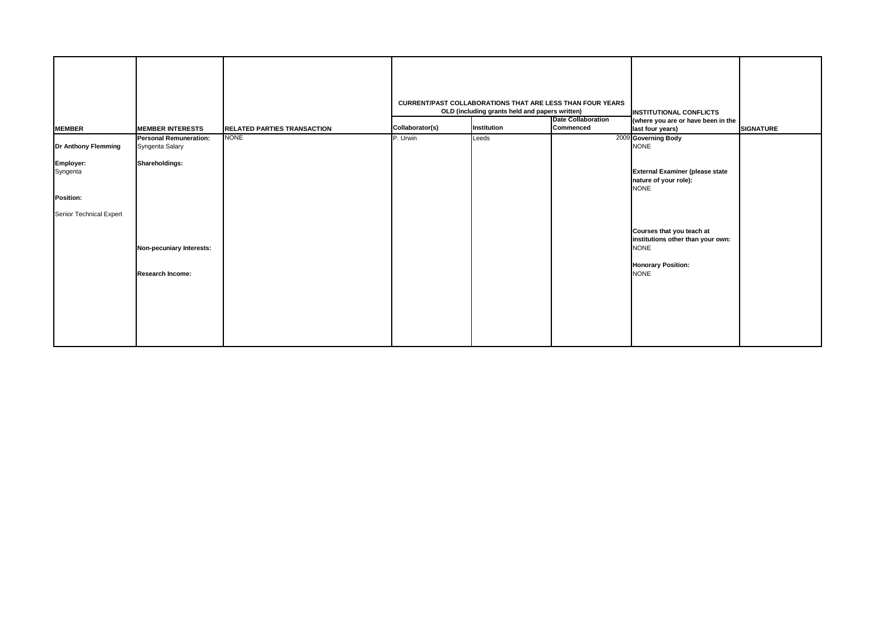|                            |                                                  |                                    |                 | <b>CURRENT/PAST COLLABORATIONS THAT ARE LESS THAN FOUR YEARS</b><br>OLD (including grants held and papers written) | <b>Date Collaboration</b> | <b>INSTITUTIONAL CONFLICTS</b><br>(where you are or have been in the                                                      |                  |
|----------------------------|--------------------------------------------------|------------------------------------|-----------------|--------------------------------------------------------------------------------------------------------------------|---------------------------|---------------------------------------------------------------------------------------------------------------------------|------------------|
| <b>MEMBER</b>              | <b>MEMBER INTERESTS</b>                          | <b>RELATED PARTIES TRANSACTION</b> | Collaborator(s) | Institution                                                                                                        | Commenced                 | last four years)                                                                                                          | <b>SIGNATURE</b> |
| <b>Dr Anthony Flemming</b> | <b>Personal Remuneration:</b><br>Syngenta Salary | <b>NONE</b>                        | P. Urwin        | Leeds                                                                                                              |                           | 2009 Governing Body<br><b>NONE</b>                                                                                        |                  |
| Employer:<br>Syngenta      | Shareholdings:                                   |                                    |                 |                                                                                                                    |                           | <b>External Examiner (please state</b><br>nature of your role):<br><b>NONE</b>                                            |                  |
| <b>Position:</b>           |                                                  |                                    |                 |                                                                                                                    |                           |                                                                                                                           |                  |
| Senior Technical Expert    | Non-pecuniary Interests:<br>Research Income:     |                                    |                 |                                                                                                                    |                           | Courses that you teach at<br>institutions other than your own:<br><b>NONE</b><br><b>Honorary Position:</b><br><b>NONE</b> |                  |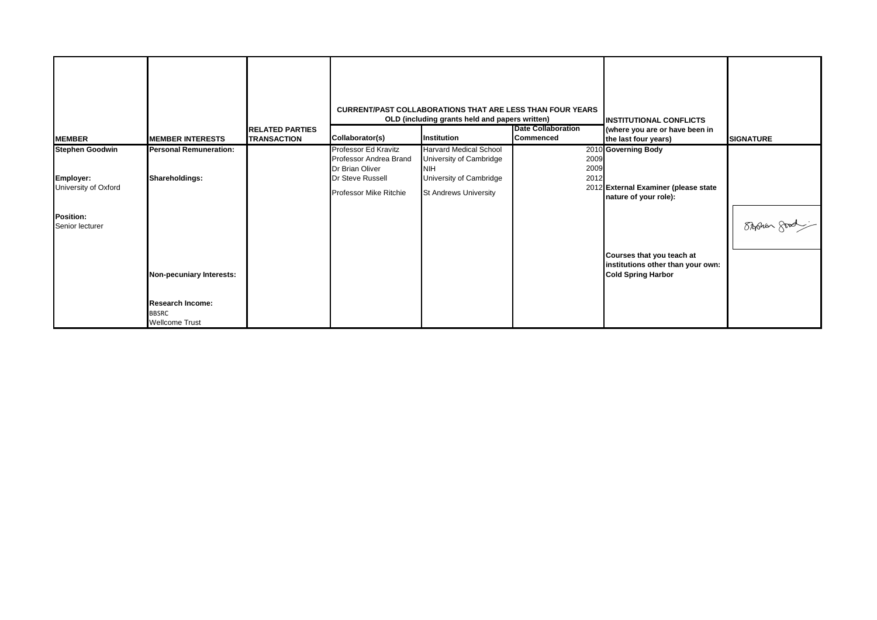| <b>IMEMBER</b>                      | <b>IMEMBER INTERESTS</b>      | <b>IRELATED PARTIES</b><br><b>TRANSACTION</b> | Collaborator(s)               | <b>CURRENT/PAST COLLABORATIONS THAT ARE LESS THAN FOUR YEARS</b><br>OLD (including grants held and papers written)<br>Institution | <b>Date Collaboration</b><br><b>Commenced</b> | <b>IINSTITUTIONAL CONFLICTS</b><br>(where you are or have been in<br>the last four years)   | <b>SIGNATURE</b> |
|-------------------------------------|-------------------------------|-----------------------------------------------|-------------------------------|-----------------------------------------------------------------------------------------------------------------------------------|-----------------------------------------------|---------------------------------------------------------------------------------------------|------------------|
| <b>Stephen Goodwin</b>              | <b>Personal Remuneration:</b> |                                               | Professor Ed Kravitz          | <b>Harvard Medical School</b>                                                                                                     |                                               | 2010 Governing Body                                                                         |                  |
|                                     |                               |                                               | Professor Andrea Brand        | University of Cambridge                                                                                                           | 2009                                          |                                                                                             |                  |
|                                     |                               |                                               | Dr Brian Oliver               | <b>NIH</b>                                                                                                                        | 2009                                          |                                                                                             |                  |
| Employer:                           | Shareholdings:                |                                               | Dr Steve Russell              | University of Cambridge                                                                                                           | 2012                                          |                                                                                             |                  |
| University of Oxford                |                               |                                               | <b>Professor Mike Ritchie</b> | <b>St Andrews University</b>                                                                                                      |                                               | 2012 External Examiner (please state<br>nature of your role):                               |                  |
| <b>Position:</b><br>Senior lecturer |                               |                                               |                               |                                                                                                                                   |                                               |                                                                                             | Shohan good      |
|                                     | Non-pecuniary Interests:      |                                               |                               |                                                                                                                                   |                                               | Courses that you teach at<br>institutions other than your own:<br><b>Cold Spring Harbor</b> |                  |
|                                     | <b>Research Income:</b>       |                                               |                               |                                                                                                                                   |                                               |                                                                                             |                  |
|                                     | <b>BBSRC</b>                  |                                               |                               |                                                                                                                                   |                                               |                                                                                             |                  |
|                                     | <b>Wellcome Trust</b>         |                                               |                               |                                                                                                                                   |                                               |                                                                                             |                  |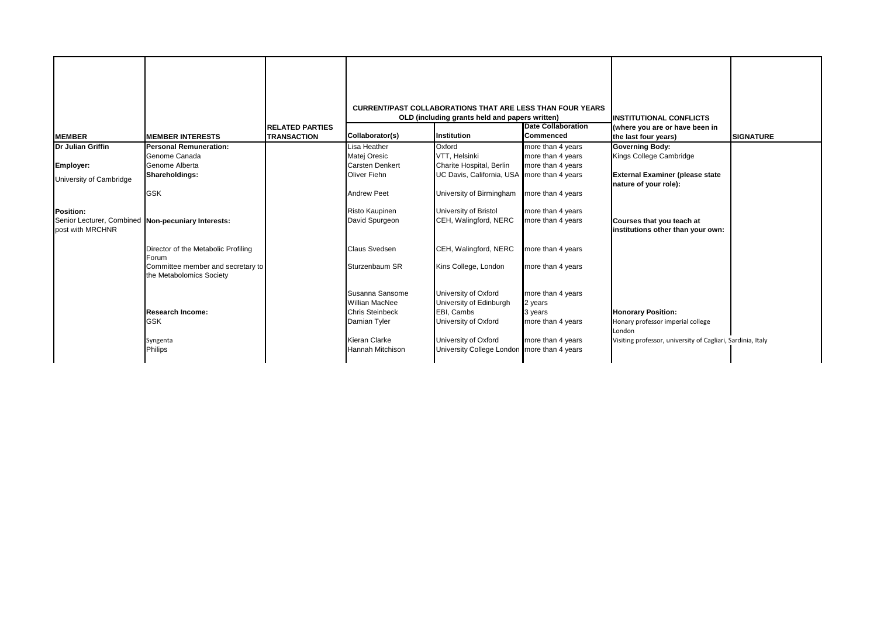|                                                                        |                                                               |                                              |                         | <b>CURRENT/PAST COLLABORATIONS THAT ARE LESS THAN FOUR YEARS</b><br>OLD (including grants held and papers written) |                                        | <b>INSTITUTIONAL CONFLICTS</b>                                  |                  |
|------------------------------------------------------------------------|---------------------------------------------------------------|----------------------------------------------|-------------------------|--------------------------------------------------------------------------------------------------------------------|----------------------------------------|-----------------------------------------------------------------|------------------|
| <b>IMEMBER</b>                                                         | <b>MEMBER INTERESTS</b>                                       | <b>RELATED PARTIES</b><br><b>TRANSACTION</b> | Collaborator(s)         | <b>Institution</b>                                                                                                 | <b>Date Collaboration</b><br>Commenced | (where you are or have been in<br>the last four years)          | <b>SIGNATURE</b> |
| Dr Julian Griffin                                                      | <b>Personal Remuneration:</b>                                 |                                              | Lisa Heather            | Oxford                                                                                                             | more than 4 years                      | <b>Governing Body:</b>                                          |                  |
|                                                                        | Genome Canada                                                 |                                              | Matej Oresic            | VTT, Helsinki                                                                                                      | more than 4 years                      | Kings College Cambridge                                         |                  |
| Employer:                                                              | Genome Alberta                                                |                                              | <b>Carsten Denkert</b>  | Charite Hospital, Berlin                                                                                           | more than 4 years                      |                                                                 |                  |
| University of Cambridge                                                | Shareholdings:                                                |                                              | <b>Oliver Fiehn</b>     | UC Davis, California, USA                                                                                          | more than 4 years                      | <b>External Examiner (please state</b><br>nature of your role): |                  |
|                                                                        | <b>GSK</b>                                                    |                                              | <b>Andrew Peet</b>      | University of Birmingham                                                                                           | more than 4 years                      |                                                                 |                  |
| <b>Position:</b>                                                       |                                                               |                                              | Risto Kaupinen          | University of Bristol                                                                                              | more than 4 years                      |                                                                 |                  |
| Senior Lecturer, Combined Non-pecuniary Interests:<br>post with MRCHNR |                                                               |                                              | David Spurgeon          | CEH, Walingford, NERC                                                                                              | more than 4 years                      | Courses that you teach at<br>institutions other than your own:  |                  |
|                                                                        | Director of the Metabolic Profiling<br>Forum                  |                                              | Claus Svedsen           | CEH, Walingford, NERC                                                                                              | more than 4 years                      |                                                                 |                  |
|                                                                        | Committee member and secretary to<br>the Metabolomics Society |                                              | Sturzenbaum SR          | Kins College, London                                                                                               | more than 4 years                      |                                                                 |                  |
|                                                                        |                                                               |                                              | Susanna Sansome         | University of Oxford                                                                                               | more than 4 years                      |                                                                 |                  |
|                                                                        |                                                               |                                              | <b>Willian MacNee</b>   | University of Edinburgh                                                                                            | 2 years                                |                                                                 |                  |
|                                                                        | <b>Research Income:</b>                                       |                                              | <b>Chris Steinbeck</b>  | EBI. Cambs                                                                                                         | 3 vears                                | <b>Honorary Position:</b>                                       |                  |
|                                                                        | <b>GSK</b>                                                    |                                              | Damian Tyler            | University of Oxford                                                                                               | more than 4 years                      | Honary professor imperial college<br>London                     |                  |
|                                                                        | Syngenta                                                      |                                              | Kieran Clarke           | University of Oxford                                                                                               | more than 4 years                      | Visiting professor, university of Cagliari, Sardinia, Italy     |                  |
|                                                                        | Philips                                                       |                                              | <b>Hannah Mitchison</b> | University College London more than 4 years                                                                        |                                        |                                                                 |                  |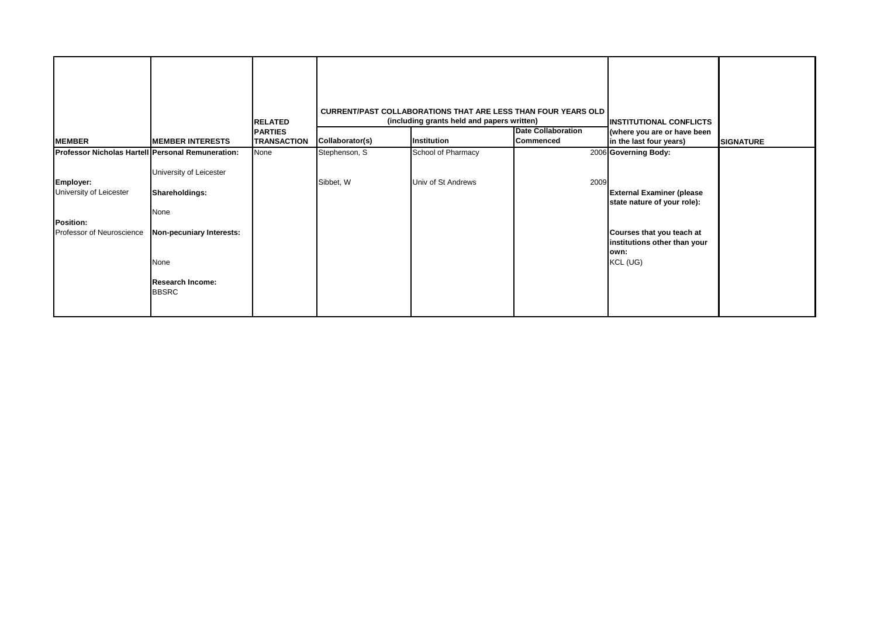| <b>MEMBER</b>                                                                                                                       | <b>MEMBER INTERESTS</b>                                                                                                          | <b>RELATED</b><br><b>PARTIES</b><br><b>TRANSACTION</b> | Collaborator(s)            | <b>CURRENT/PAST COLLABORATIONS THAT ARE LESS THAN FOUR YEARS OLD</b><br>(including grants held and papers written)<br>Institution | <b>Date Collaboration</b><br>Commenced | <b>INSTITUTIONAL CONFLICTS</b><br>(where you are or have been<br>in the last four years)                                                                                 | <b>SIGNATURE</b> |
|-------------------------------------------------------------------------------------------------------------------------------------|----------------------------------------------------------------------------------------------------------------------------------|--------------------------------------------------------|----------------------------|-----------------------------------------------------------------------------------------------------------------------------------|----------------------------------------|--------------------------------------------------------------------------------------------------------------------------------------------------------------------------|------------------|
|                                                                                                                                     |                                                                                                                                  |                                                        |                            |                                                                                                                                   |                                        |                                                                                                                                                                          |                  |
| Professor Nicholas Hartell Personal Remuneration:<br>Employer:<br>University of Leicester<br>Position:<br>Professor of Neuroscience | University of Leicester<br>Shareholdings:<br>None<br>Non-pecuniary Interests:<br>None<br><b>Research Income:</b><br><b>BBSRC</b> | None                                                   | Stephenson, S<br>Sibbet, W | School of Pharmacy<br>Univ of St Andrews                                                                                          | 2009                                   | 2006 Governing Body:<br><b>External Examiner (please</b><br>state nature of your role):<br>Courses that you teach at<br>institutions other than your<br>own:<br>KCL (UG) |                  |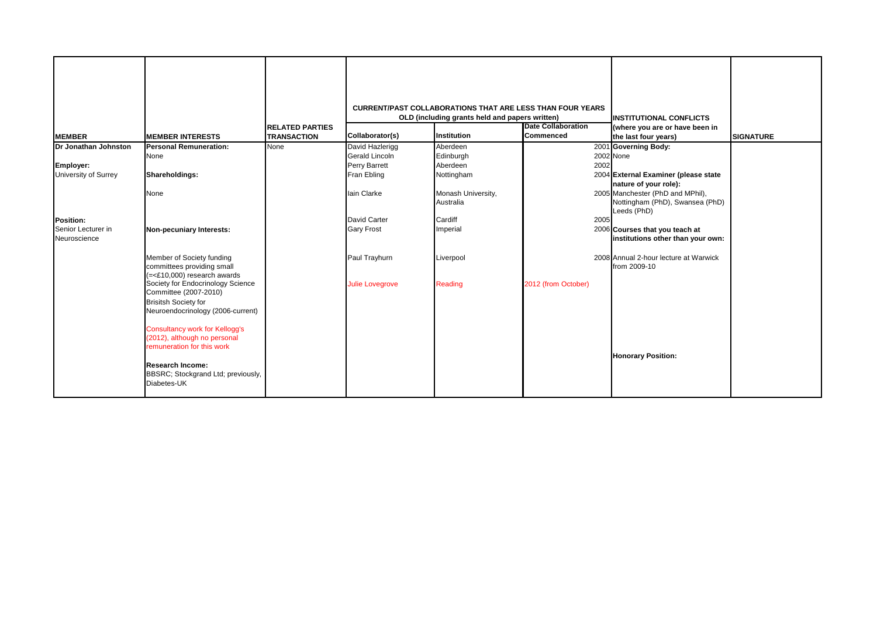|                                    |                                                                                                                                | <b>RELATED PARTIES</b> |                        | <b>CURRENT/PAST COLLABORATIONS THAT ARE LESS THAN FOUR YEARS</b><br>OLD (including grants held and papers written) | <b>Date Collaboration</b> | <b>INSTITUTIONAL CONFLICTS</b><br>(where you are or have been in                   |                  |
|------------------------------------|--------------------------------------------------------------------------------------------------------------------------------|------------------------|------------------------|--------------------------------------------------------------------------------------------------------------------|---------------------------|------------------------------------------------------------------------------------|------------------|
| <b>MEMBER</b>                      | <b>MEMBER INTERESTS</b>                                                                                                        | <b>TRANSACTION</b>     | Collaborator(s)        | Institution                                                                                                        | <b>Commenced</b>          | the last four years)                                                               | <b>SIGNATURE</b> |
| Dr Jonathan Johnston               | <b>Personal Remuneration:</b>                                                                                                  | None                   | David Hazlerigg        | Aberdeen                                                                                                           |                           | 2001 Governing Body:                                                               |                  |
|                                    | None                                                                                                                           |                        | Gerald Lincoln         | Edinburgh                                                                                                          |                           | 2002 None                                                                          |                  |
| Employer:                          |                                                                                                                                |                        | Perry Barrett          | Aberdeen                                                                                                           | 2002                      |                                                                                    |                  |
| University of Surrey               | Shareholdings:                                                                                                                 |                        | Fran Ebling            | Nottingham                                                                                                         |                           | 2004 External Examiner (please state<br>nature of your role):                      |                  |
|                                    | None                                                                                                                           |                        | lain Clarke            | Monash University,<br>Australia                                                                                    |                           | 2005 Manchester (PhD and MPhil),<br>Nottingham (PhD), Swansea (PhD)<br>Leeds (PhD) |                  |
| <b>Position:</b>                   |                                                                                                                                |                        | David Carter           | Cardiff                                                                                                            | 2005                      |                                                                                    |                  |
| Senior Lecturer in<br>Neuroscience | Non-pecuniary Interests:                                                                                                       |                        | <b>Gary Frost</b>      | Imperial                                                                                                           |                           | 2006 Courses that you teach at<br>institutions other than your own:                |                  |
|                                    | Member of Society funding<br>committees providing small<br>$(=\leq$ £10,000) research awards                                   |                        | Paul Trayhurn          | Liverpool                                                                                                          |                           | 2008 Annual 2-hour lecture at Warwick<br>from 2009-10                              |                  |
|                                    | Society for Endocrinology Science<br>Committee (2007-2010)<br><b>Brisitsh Society for</b><br>Neuroendocrinology (2006-current) |                        | <b>Julie Lovegrove</b> | <b>Reading</b>                                                                                                     | 2012 (from October)       |                                                                                    |                  |
|                                    | <b>Consultancy work for Kellogg's</b><br>(2012), although no personal<br>remuneration for this work                            |                        |                        |                                                                                                                    |                           | <b>Honorary Position:</b>                                                          |                  |
|                                    | <b>Research Income:</b><br>BBSRC; Stockgrand Ltd; previously,<br>Diabetes-UK                                                   |                        |                        |                                                                                                                    |                           |                                                                                    |                  |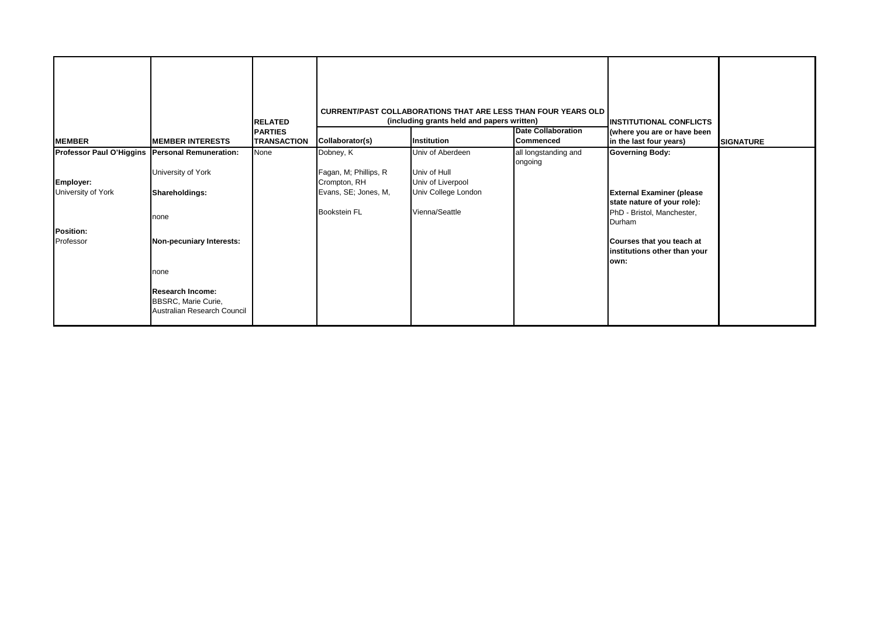| <b>MEMBER</b>                                   | <b>MEMBER INTERESTS</b>                                                       | <b>RELATED</b><br><b>PARTIES</b><br><b>TRANSACTION</b> | Collaborator(s)       | <b>CURRENT/PAST COLLABORATIONS THAT ARE LESS THAN FOUR YEARS OLD</b><br>(including grants held and papers written)<br>Institution | <b>INSTITUTIONAL CONFLICTS</b><br>(where you are or have been<br>in the last four years) | <b>SIGNATURE</b>                                                  |  |
|-------------------------------------------------|-------------------------------------------------------------------------------|--------------------------------------------------------|-----------------------|-----------------------------------------------------------------------------------------------------------------------------------|------------------------------------------------------------------------------------------|-------------------------------------------------------------------|--|
| Professor Paul O'Higgins Personal Remuneration: |                                                                               | None                                                   | Dobney, K             | Univ of Aberdeen                                                                                                                  | <b>Commenced</b><br>all longstanding and                                                 | <b>Governing Body:</b>                                            |  |
|                                                 |                                                                               |                                                        |                       |                                                                                                                                   | ongoing                                                                                  |                                                                   |  |
|                                                 | University of York                                                            |                                                        | Fagan, M; Phillips, R | Univ of Hull                                                                                                                      |                                                                                          |                                                                   |  |
| Employer:                                       |                                                                               |                                                        | Crompton, RH          | Univ of Liverpool                                                                                                                 |                                                                                          |                                                                   |  |
| University of York                              | Shareholdings:                                                                |                                                        | Evans, SE; Jones, M,  | Univ College London                                                                                                               |                                                                                          | <b>External Examiner (please</b>                                  |  |
|                                                 |                                                                               |                                                        |                       |                                                                                                                                   |                                                                                          | state nature of your role):                                       |  |
|                                                 | none                                                                          |                                                        | <b>Bookstein FL</b>   | Vienna/Seattle                                                                                                                    |                                                                                          | PhD - Bristol, Manchester,<br>Durham                              |  |
| Position:                                       |                                                                               |                                                        |                       |                                                                                                                                   |                                                                                          |                                                                   |  |
| Professor                                       | Non-pecuniary Interests:                                                      |                                                        |                       |                                                                                                                                   |                                                                                          | Courses that you teach at<br>institutions other than your<br>own: |  |
|                                                 | none                                                                          |                                                        |                       |                                                                                                                                   |                                                                                          |                                                                   |  |
|                                                 | <b>Research Income:</b><br>BBSRC, Marie Curie,<br>Australian Research Council |                                                        |                       |                                                                                                                                   |                                                                                          |                                                                   |  |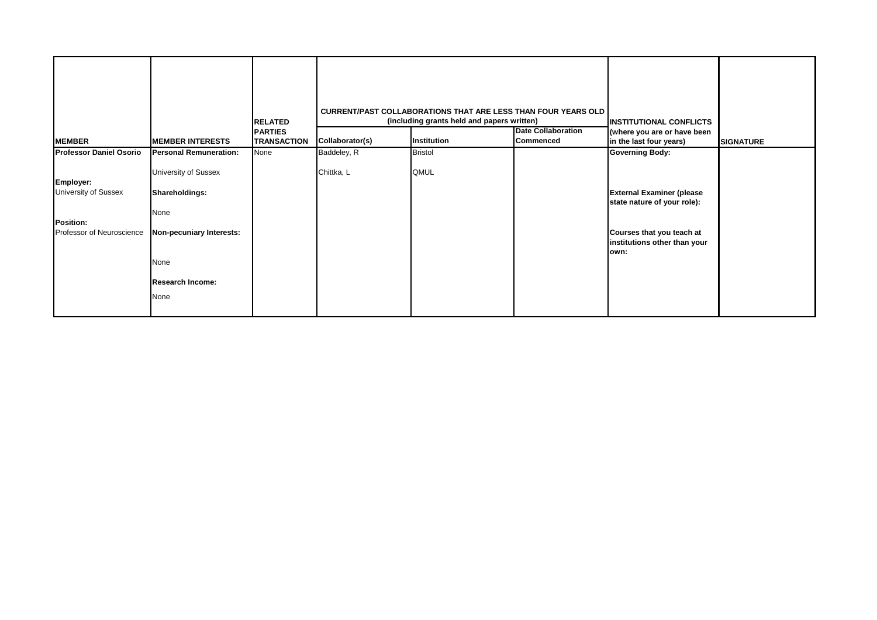| <b>MEMBER</b>                                                               | <b>MEMBER INTERESTS</b>                                                                                               | <b>RELATED</b><br><b>PARTIES</b><br><b>TRANSACTION</b> | Collaborator(s) | <b>CURRENT/PAST COLLABORATIONS THAT ARE LESS THAN FOUR YEARS OLD</b><br>(including grants held and papers written)<br>Institution | <b>Date Collaboration</b><br>Commenced | <b>INSTITUTIONAL CONFLICTS</b><br>(where you are or have been<br>in the last four years)                                             | <b>SIGNATURE</b> |
|-----------------------------------------------------------------------------|-----------------------------------------------------------------------------------------------------------------------|--------------------------------------------------------|-----------------|-----------------------------------------------------------------------------------------------------------------------------------|----------------------------------------|--------------------------------------------------------------------------------------------------------------------------------------|------------------|
| <b>Professor Daniel Osorio</b>                                              | <b>Personal Remuneration:</b>                                                                                         | None                                                   | Baddeley, R     | <b>Bristol</b>                                                                                                                    |                                        | <b>Governing Body:</b>                                                                                                               |                  |
| Employer:<br>University of Sussex<br>Position:<br>Professor of Neuroscience | University of Sussex<br>Shareholdings:<br>None<br>Non-pecuniary Interests:<br>None<br><b>Research Income:</b><br>None |                                                        | Chittka, L      | QMUL                                                                                                                              |                                        | <b>External Examiner (please</b><br>state nature of your role):<br>Courses that you teach at<br>institutions other than your<br>own: |                  |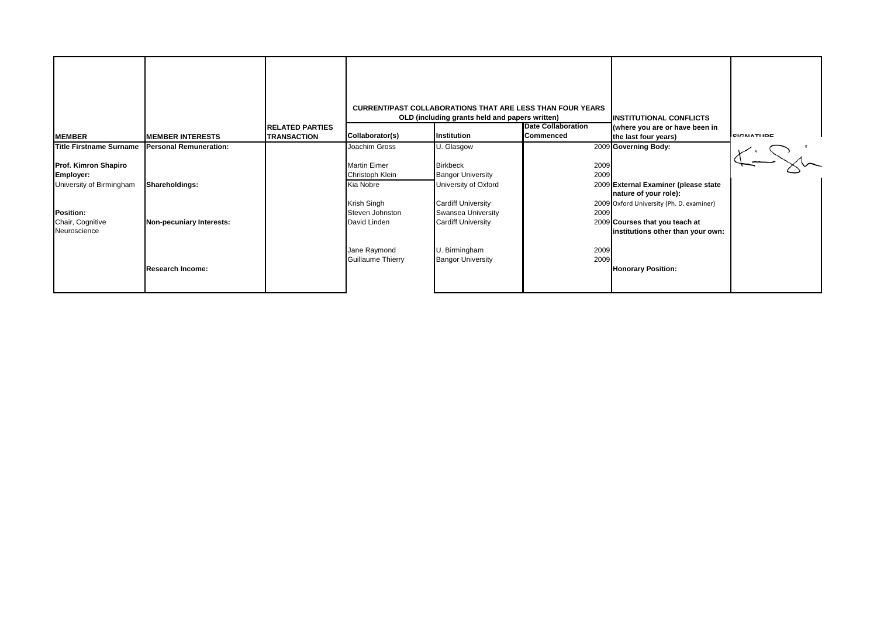| <b>MEMBER</b>                                        | <b>MEMBER INTERESTS</b>       | <b>RELATED PARTIES</b><br><b>TRANSACTION</b> | Collaborator(s)                        | <b>CURRENT/PAST COLLABORATIONS THAT ARE LESS THAN FOUR YEARS</b><br>OLD (including grants held and papers written)<br>Institution | <b>Date Collaboration</b><br>Commenced | <b>INSTITUTIONAL CONFLICTS</b><br>(where you are or have been in<br>the last four years) | <b>SIGNATUPE</b> |
|------------------------------------------------------|-------------------------------|----------------------------------------------|----------------------------------------|-----------------------------------------------------------------------------------------------------------------------------------|----------------------------------------|------------------------------------------------------------------------------------------|------------------|
| <b>Title Firstname Surname</b>                       | <b>Personal Remuneration:</b> |                                              | Joachim Gross                          | U. Glasgow                                                                                                                        |                                        | 2009 Governing Body:                                                                     |                  |
| Prof. Kimron Shapiro<br>Employer:                    |                               |                                              | <b>Martin Eimer</b><br>Christoph Klein | <b>Birkbeck</b><br><b>Bangor University</b>                                                                                       | 2009<br>2009                           |                                                                                          |                  |
| University of Birmingham                             | Shareholdings:                |                                              | Kia Nobre                              | University of Oxford                                                                                                              |                                        | 2009 External Examiner (please state<br>nature of your role):                            |                  |
|                                                      |                               |                                              | Krish Singh<br>Steven Johnston         | <b>Cardiff University</b>                                                                                                         |                                        | 2009 Oxford University (Ph. D. examiner)                                                 |                  |
| <b>Position:</b><br>Chair, Cognitive<br>Neuroscience | Non-pecuniary Interests:      |                                              | David Linden                           | <b>Swansea University</b><br><b>Cardiff University</b>                                                                            | 2009                                   | 2009 Courses that you teach at<br>institutions other than your own:                      |                  |
|                                                      | <b>Research Income:</b>       |                                              | Jane Raymond<br>Guillaume Thierry      | U. Birmingham<br><b>Bangor University</b>                                                                                         | 2009<br>2009                           | <b>Honorary Position:</b>                                                                |                  |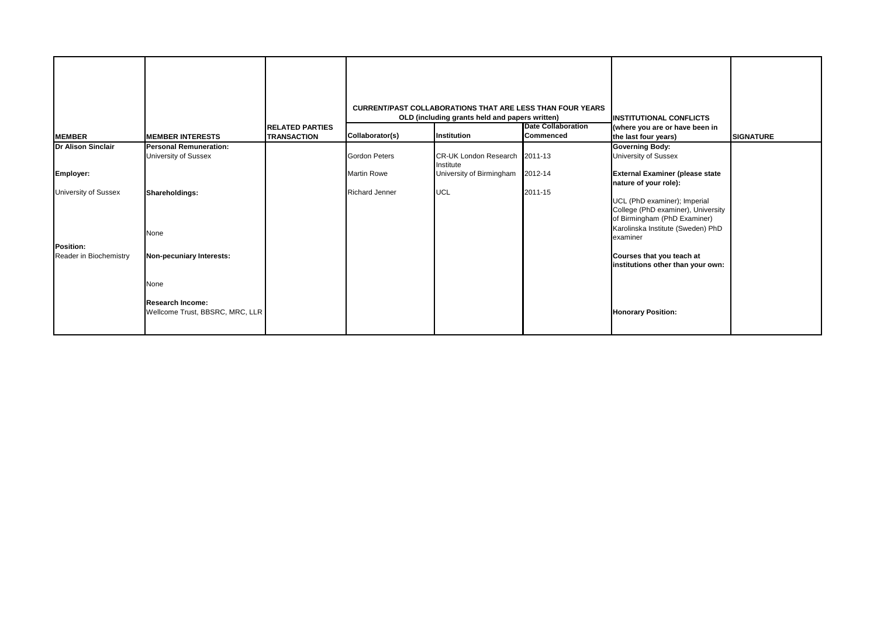| <b>MEMBER</b>               | <b>MEMBER INTERESTS</b>                                    | <b>RELATED PARTIES</b><br><b>TRANSACTION</b> | Collaborator(s)       | <b>CURRENT/PAST COLLABORATIONS THAT ARE LESS THAN FOUR YEARS</b><br>OLD (including grants held and papers written)<br>Institution | <b>Date Collaboration</b><br><b>Commenced</b> | <b>INSTITUTIONAL CONFLICTS</b><br>(where you are or have been in<br>the last four years)                                                | <b>SIGNATURE</b> |
|-----------------------------|------------------------------------------------------------|----------------------------------------------|-----------------------|-----------------------------------------------------------------------------------------------------------------------------------|-----------------------------------------------|-----------------------------------------------------------------------------------------------------------------------------------------|------------------|
| <b>Dr Alison Sinclair</b>   | <b>Personal Remuneration:</b>                              |                                              |                       |                                                                                                                                   |                                               | <b>Governing Body:</b>                                                                                                                  |                  |
|                             | <b>University of Sussex</b>                                |                                              | <b>Gordon Peters</b>  | CR-UK London Research 2011-13<br>Institute                                                                                        |                                               | University of Sussex                                                                                                                    |                  |
| Employer:                   |                                                            |                                              | <b>Martin Rowe</b>    | University of Birmingham 2012-14                                                                                                  |                                               | <b>External Examiner (please state</b><br>nature of your role):                                                                         |                  |
| <b>University of Sussex</b> | Shareholdings:<br>None                                     |                                              | <b>Richard Jenner</b> | <b>UCL</b>                                                                                                                        | 2011-15                                       | UCL (PhD examiner); Imperial<br>College (PhD examiner), University<br>of Birmingham (PhD Examiner)<br>Karolinska Institute (Sweden) PhD |                  |
| <b>Position:</b>            |                                                            |                                              |                       |                                                                                                                                   |                                               | examiner                                                                                                                                |                  |
| Reader in Biochemistry      | Non-pecuniary Interests:                                   |                                              |                       |                                                                                                                                   |                                               | Courses that you teach at<br>institutions other than your own:                                                                          |                  |
|                             | None                                                       |                                              |                       |                                                                                                                                   |                                               |                                                                                                                                         |                  |
|                             | <b>Research Income:</b><br>Wellcome Trust, BBSRC, MRC, LLR |                                              |                       |                                                                                                                                   |                                               | <b>Honorary Position:</b>                                                                                                               |                  |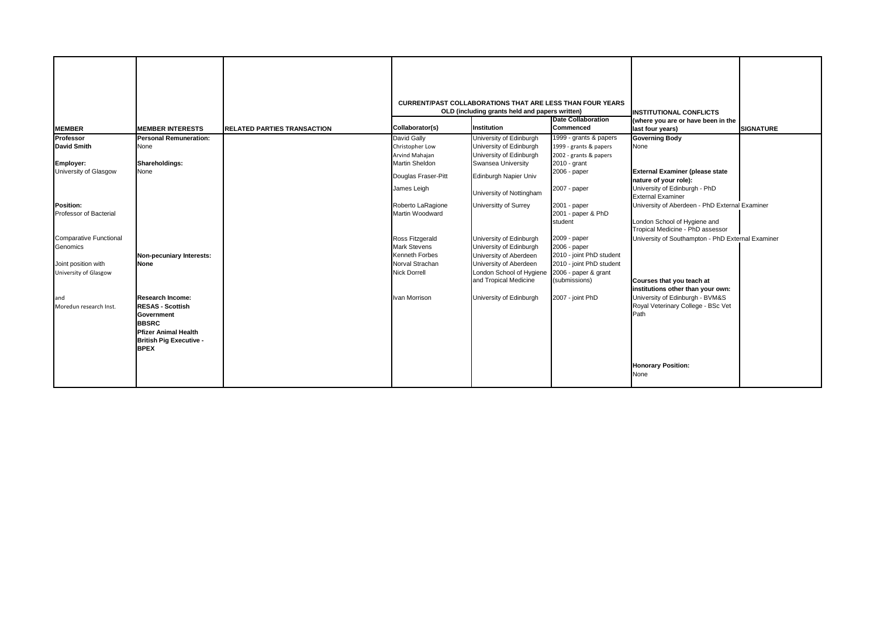| <b>MEMBER</b>                                                                             | <b>MEMBER INTERESTS</b>                                                                                                                                                 | <b>RELATED PARTIES TRANSACTION</b> | Collaborator(s)                                                                                    | <b>CURRENT/PAST COLLABORATIONS THAT ARE LESS THAN FOUR YEARS</b><br>OLD (including grants held and papers written)<br><b>Institution</b> | <b>Date Collaboration</b><br>Commenced                                                                       | <b>INSTITUTIONAL CONFLICTS</b><br>(where you are or have been in the<br>last four years)                           | <b>SIGNATURE</b> |
|-------------------------------------------------------------------------------------------|-------------------------------------------------------------------------------------------------------------------------------------------------------------------------|------------------------------------|----------------------------------------------------------------------------------------------------|------------------------------------------------------------------------------------------------------------------------------------------|--------------------------------------------------------------------------------------------------------------|--------------------------------------------------------------------------------------------------------------------|------------------|
| Professor                                                                                 | <b>Personal Remuneration:</b>                                                                                                                                           |                                    | David Gally                                                                                        | University of Edinburgh                                                                                                                  | 1999 - grants & papers                                                                                       | <b>Governing Body</b>                                                                                              |                  |
| <b>David Smith</b>                                                                        | None                                                                                                                                                                    |                                    | Christopher Low                                                                                    | University of Edinburgh                                                                                                                  | 1999 - grants & papers                                                                                       | None                                                                                                               |                  |
|                                                                                           |                                                                                                                                                                         |                                    | Arvind Mahajan                                                                                     | University of Edinburgh                                                                                                                  | 2002 - grants & papers                                                                                       |                                                                                                                    |                  |
| Employer:                                                                                 | Shareholdings:                                                                                                                                                          |                                    | Martin Sheldon                                                                                     | Swansea University                                                                                                                       | 2010 - grant                                                                                                 |                                                                                                                    |                  |
| University of Glasgow                                                                     | None                                                                                                                                                                    |                                    | Douglas Fraser-Pitt                                                                                | Edinburgh Napier Univ                                                                                                                    | 2006 - paper                                                                                                 | <b>External Examiner (please state</b><br>nature of your role):                                                    |                  |
|                                                                                           |                                                                                                                                                                         |                                    | James Leigh                                                                                        | University of Nottingham                                                                                                                 | 2007 - paper                                                                                                 | University of Edinburgh - PhD<br><b>External Examiner</b>                                                          |                  |
| <b>Position:</b><br>Professor of Bacterial                                                |                                                                                                                                                                         |                                    | Roberto LaRagione<br>Martin Woodward                                                               | Universitty of Surrey                                                                                                                    | 2001 - paper<br>2001 - paper & PhD<br>student                                                                | University of Aberdeen - PhD External Examiner<br>London School of Hygiene and<br>Tropical Medicine - PhD assessor |                  |
| <b>Comparative Functional</b><br>Genomics<br>Joint position with<br>University of Glasgow | Non-pecuniary Interests:<br><b>None</b>                                                                                                                                 |                                    | Ross Fitzgerald<br><b>Mark Stevens</b><br>Kenneth Forbes<br>Norval Strachan<br><b>Nick Dorrell</b> | University of Edinburgh<br>University of Edinburgh<br>University of Aberdeen<br>University of Aberdeen<br>London School of Hygiene       | 2009 - paper<br>2006 - paper<br>2010 - joint PhD student<br>2010 - joint PhD student<br>2006 - paper & grant | University of Southampton - PhD External Examiner                                                                  |                  |
|                                                                                           |                                                                                                                                                                         |                                    |                                                                                                    | and Tropical Medicine                                                                                                                    | (submissions)                                                                                                | Courses that you teach at<br>institutions other than your own:                                                     |                  |
| and<br>Moredun research Inst.                                                             | <b>Research Income:</b><br><b>RESAS - Scottish</b><br><b>Government</b><br><b>BBSRC</b><br><b>Pfizer Animal Health</b><br><b>British Pig Executive -</b><br><b>BPEX</b> |                                    | Ivan Morrison                                                                                      | University of Edinburgh                                                                                                                  | 2007 - joint PhD                                                                                             | University of Edinburgh - BVM&S<br>Royal Veterinary College - BSc Vet<br>Path                                      |                  |
|                                                                                           |                                                                                                                                                                         |                                    |                                                                                                    |                                                                                                                                          |                                                                                                              | <b>Honorary Position:</b><br>None                                                                                  |                  |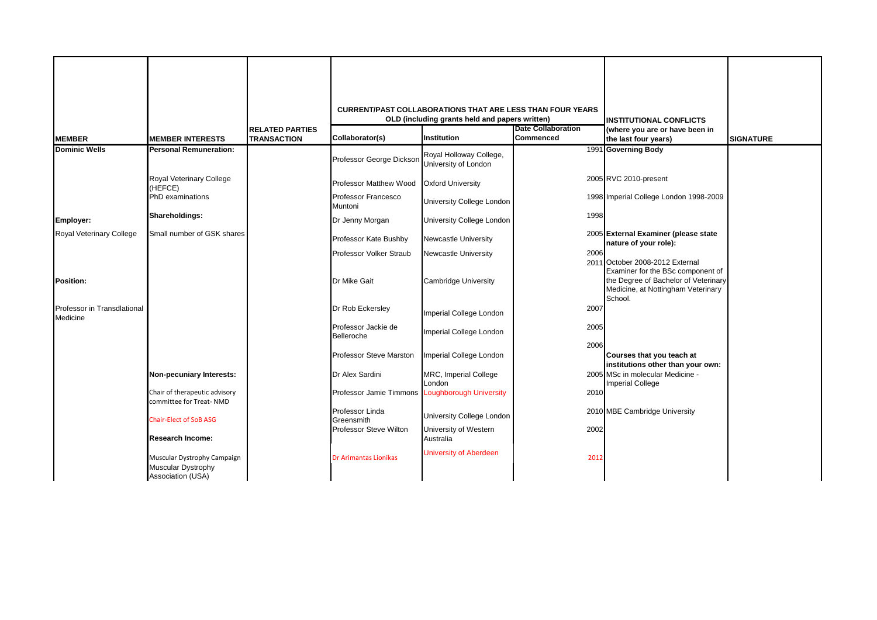|                                         |                                                                               |                                              |                                                 | <b>CURRENT/PAST COLLABORATIONS THAT ARE LESS THAN FOUR YEARS</b> |                           |                                                                                                                            |                  |
|-----------------------------------------|-------------------------------------------------------------------------------|----------------------------------------------|-------------------------------------------------|------------------------------------------------------------------|---------------------------|----------------------------------------------------------------------------------------------------------------------------|------------------|
|                                         |                                                                               |                                              |                                                 | OLD (including grants held and papers written)                   | <b>Date Collaboration</b> | <b>INSTITUTIONAL CONFLICTS</b>                                                                                             |                  |
| <b>MEMBER</b>                           | <b>MEMBER INTERESTS</b>                                                       | <b>RELATED PARTIES</b><br><b>TRANSACTION</b> | Collaborator(s)                                 | Institution                                                      | Commenced                 | (where you are or have been in<br>the last four years)                                                                     | <b>SIGNATURE</b> |
| <b>Dominic Wells</b>                    | <b>Personal Remuneration:</b>                                                 |                                              | Professor George Dickson                        | Royal Holloway College,<br>University of London                  |                           | 1991 Governing Body                                                                                                        |                  |
|                                         | Royal Veterinary College<br>(HEFCE)                                           |                                              | Professor Matthew Wood                          | <b>Oxford University</b>                                         |                           | 2005 RVC 2010-present                                                                                                      |                  |
|                                         | PhD examinations                                                              |                                              | Professor Francesco<br>Muntoni                  | University College London                                        |                           | 1998 Imperial College London 1998-2009                                                                                     |                  |
| Employer:                               | Shareholdings:                                                                |                                              | Dr Jenny Morgan                                 | University College London                                        | 1998                      |                                                                                                                            |                  |
| <b>Royal Veterinary College</b>         | Small number of GSK shares                                                    |                                              | Professor Kate Bushby                           | <b>Newcastle University</b>                                      |                           | 2005 External Examiner (please state<br>nature of your role):                                                              |                  |
|                                         |                                                                               |                                              | Professor Volker Straub                         | Newcastle University                                             | 2006                      | 2011 October 2008-2012 External                                                                                            |                  |
| <b>Position:</b>                        |                                                                               |                                              | Dr Mike Gait                                    | <b>Cambridge University</b>                                      |                           | Examiner for the BSc component of<br>the Degree of Bachelor of Veterinary<br>Medicine, at Nottingham Veterinary<br>School. |                  |
| Professor in Transdlational<br>Medicine |                                                                               |                                              | Dr Rob Eckersley                                | Imperial College London                                          | 2007                      |                                                                                                                            |                  |
|                                         |                                                                               |                                              | Professor Jackie de<br>Belleroche               | Imperial College London                                          | 2005                      |                                                                                                                            |                  |
|                                         |                                                                               |                                              |                                                 |                                                                  | 2006                      |                                                                                                                            |                  |
|                                         |                                                                               |                                              | Professor Steve Marston                         | Imperial College London                                          |                           | Courses that you teach at<br>institutions other than your own:                                                             |                  |
|                                         | Non-pecuniary Interests:                                                      |                                              | Dr Alex Sardini                                 | MRC, Imperial College<br>London                                  |                           | 2005 MSc in molecular Medicine -<br><b>Imperial College</b>                                                                |                  |
|                                         | Chair of therapeutic advisory<br>committee for Treat-NMD                      |                                              | Professor Jamie Timmons Loughborough University |                                                                  | 2010                      |                                                                                                                            |                  |
|                                         | <b>Chair-Elect of SoB ASG</b>                                                 |                                              | Professor Linda<br>Greensmith                   | University College London                                        |                           | 2010 MBE Cambridge University                                                                                              |                  |
|                                         | <b>Research Income:</b>                                                       |                                              | Professor Steve Wilton                          | University of Western<br>Australia                               | 2002                      |                                                                                                                            |                  |
|                                         | Muscular Dystrophy Campaign<br><b>Muscular Dystrophy</b><br>Association (USA) |                                              | <b>Dr Arimantas Lionikas</b>                    | <b>University of Aberdeen</b>                                    | 2012                      |                                                                                                                            |                  |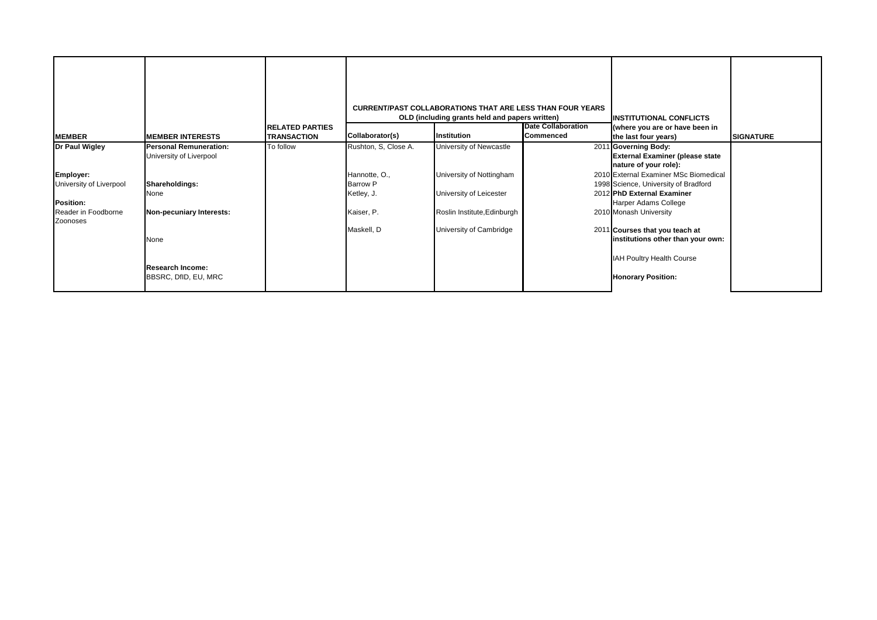| <b>MEMBER</b>                           | <b>MEMBER INTERESTS</b>                                  | <b>RELATED PARTIES</b><br><b>TRANSACTION</b> | Collaborator(s)      | <b>CURRENT/PAST COLLABORATIONS THAT ARE LESS THAN FOUR YEARS</b><br>OLD (including grants held and papers written)<br><b>Institution</b> | <b>Date Collaboration</b><br><b>Commenced</b> | <b>INSTITUTIONAL CONFLICTS</b><br>(where you are or have been in<br>the last four years) | <b>SIGNATURE</b> |
|-----------------------------------------|----------------------------------------------------------|----------------------------------------------|----------------------|------------------------------------------------------------------------------------------------------------------------------------------|-----------------------------------------------|------------------------------------------------------------------------------------------|------------------|
| Dr Paul Wigley                          | <b>Personal Remuneration:</b><br>University of Liverpool | To follow                                    | Rushton, S, Close A. | University of Newcastle                                                                                                                  |                                               | 2011 Governing Body:<br><b>External Examiner (please state</b>                           |                  |
|                                         |                                                          |                                              |                      |                                                                                                                                          |                                               | nature of your role):                                                                    |                  |
| Employer:                               |                                                          |                                              | Hannotte, O.,        | University of Nottingham                                                                                                                 |                                               | 2010 External Examiner MSc Biomedical                                                    |                  |
| University of Liverpool                 | Shareholdings:                                           |                                              | <b>Barrow P</b>      |                                                                                                                                          |                                               | 1998 Science, University of Bradford                                                     |                  |
|                                         | None                                                     |                                              | Ketley, J.           | University of Leicester                                                                                                                  |                                               | 2012 PhD External Examiner                                                               |                  |
| <b>Position:</b><br>Reader in Foodborne | Non-pecuniary Interests:                                 |                                              | Kaiser, P.           | Roslin Institute, Edinburgh                                                                                                              |                                               | Harper Adams College<br>2010 Monash University                                           |                  |
| Zoonoses                                |                                                          |                                              |                      |                                                                                                                                          |                                               |                                                                                          |                  |
|                                         |                                                          |                                              | Maskell, D           | University of Cambridge                                                                                                                  |                                               | 2011 Courses that you teach at                                                           |                  |
|                                         | None                                                     |                                              |                      |                                                                                                                                          |                                               | institutions other than your own:                                                        |                  |
|                                         |                                                          |                                              |                      |                                                                                                                                          |                                               | IAH Poultry Health Course                                                                |                  |
|                                         | <b>Research Income:</b>                                  |                                              |                      |                                                                                                                                          |                                               |                                                                                          |                  |
|                                         | BBSRC, DfID, EU, MRC                                     |                                              |                      |                                                                                                                                          |                                               | <b>Honorary Position:</b>                                                                |                  |